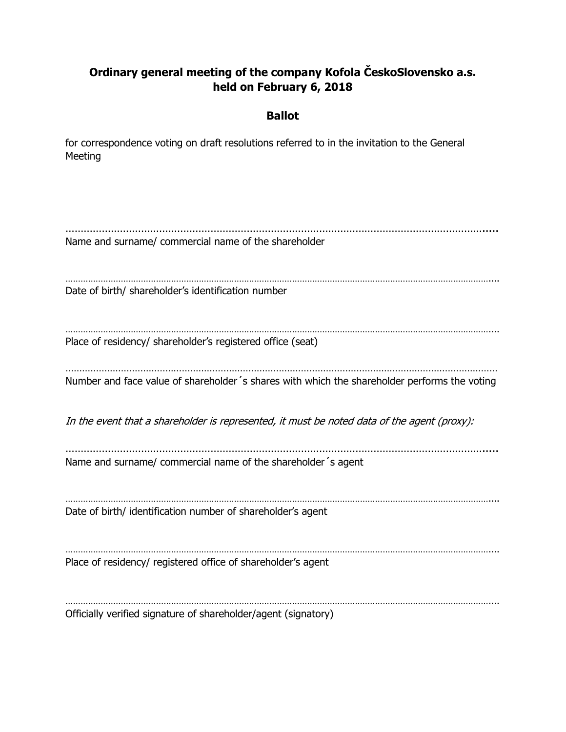## **Ordinary general meeting of the company Kofola ČeskoSlovensko a.s. held on February 6, 2018**

## **Ballot**

for correspondence voting on draft resolutions referred to in the invitation to the General Meeting